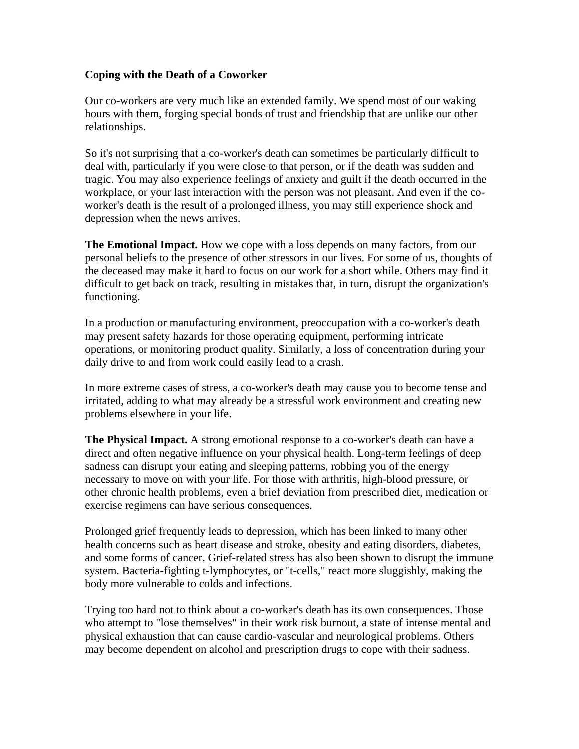## **Coping with the Death of a Coworker**

Our co-workers are very much like an extended family. We spend most of our waking hours with them, forging special bonds of trust and friendship that are unlike our other relationships.

So it's not surprising that a co-worker's death can sometimes be particularly difficult to deal with, particularly if you were close to that person, or if the death was sudden and tragic. You may also experience feelings of anxiety and guilt if the death occurred in the workplace, or your last interaction with the person was not pleasant. And even if the coworker's death is the result of a prolonged illness, you may still experience shock and depression when the news arrives.

**The Emotional Impact.** How we cope with a loss depends on many factors, from our personal beliefs to the presence of other stressors in our lives. For some of us, thoughts of the deceased may make it hard to focus on our work for a short while. Others may find it difficult to get back on track, resulting in mistakes that, in turn, disrupt the organization's functioning.

In a production or manufacturing environment, preoccupation with a co-worker's death may present safety hazards for those operating equipment, performing intricate operations, or monitoring product quality. Similarly, a loss of concentration during your daily drive to and from work could easily lead to a crash.

In more extreme cases of stress, a co-worker's death may cause you to become tense and irritated, adding to what may already be a stressful work environment and creating new problems elsewhere in your life.

**The Physical Impact.** A strong emotional response to a co-worker's death can have a direct and often negative influence on your physical health. Long-term feelings of deep sadness can disrupt your eating and sleeping patterns, robbing you of the energy necessary to move on with your life. For those with arthritis, high-blood pressure, or other chronic health problems, even a brief deviation from prescribed diet, medication or exercise regimens can have serious consequences.

Prolonged grief frequently leads to depression, which has been linked to many other health concerns such as heart disease and stroke, obesity and eating disorders, diabetes, and some forms of cancer. Grief-related stress has also been shown to disrupt the immune system. Bacteria-fighting t-lymphocytes, or "t-cells," react more sluggishly, making the body more vulnerable to colds and infections.

Trying too hard not to think about a co-worker's death has its own consequences. Those who attempt to "lose themselves" in their work risk burnout, a state of intense mental and physical exhaustion that can cause cardio-vascular and neurological problems. Others may become dependent on alcohol and prescription drugs to cope with their sadness.